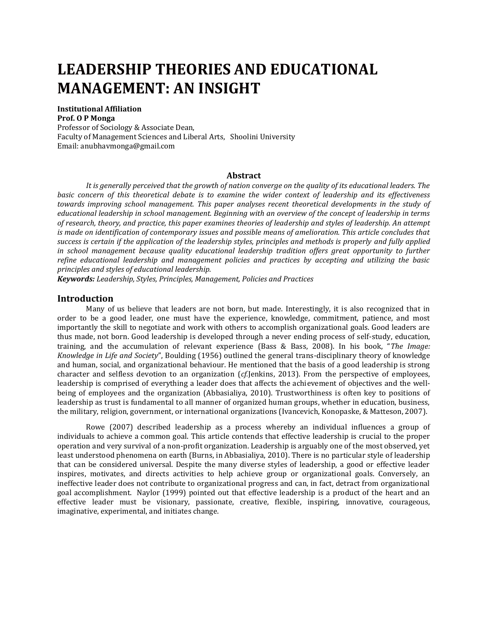# **LEADERSHIP THEORIES AND EDUCATIONAL MANAGEMENT: AN INSIGHT**

#### **Institutional Affiliation Prof. O P Monga**

Professor of Sociology & Associate Dean, Faculty of Management Sciences and Liberal Arts, Shoolini University Email: anubhavmonga@gmail.com

## **Abstract**

*It is generally perceived that the growth of nation converge on the quality of its educational leaders. The basic concern of this theoretical debate is to examine the wider context of leadership and its effectiveness towards improving school management. This paper analyses recent theoretical developments in the study of educational leadership in school management. Beginning with an overview of the concept of leadership in terms of research, theory, and practice, this paper examines theories of leadership and styles of leadership. An attempt is made on identification of contemporary issues and possible means of amelioration. This article concludes that success is certain if the application of the leadership styles, principles and methods is properly and fully applied in school management because quality educational leadership tradition offers great opportunity to further refine educational leadership and management policies and practices by accepting and utilizing the basic principles and styles of educational leadership.*

*Keywords: Leadership, Styles, Principles, Management, Policies and Practices*

## **Introduction**

Many of us believe that leaders are not born, but made. Interestingly, it is also recognized that in order to be a good leader, one must have the experience, knowledge, commitment, patience, and most importantly the skill to negotiate and work with others to accomplish organizational goals. Good leaders are thus made, not born. Good leadership is developed through a never ending process of self-study, education, training, and the accumulation of relevant experience (Bass & Bass, 2008). In his book, "*The Image: Knowledge in Life and Society*", Boulding (1956) outlined the general trans-disciplinary theory of knowledge and human, social, and organizational behaviour. He mentioned that the basis of a good leadership is strong character and selfless devotion to an organization (*cf.*Jenkins, 2013). From the perspective of employees, leadership is comprised of everything a leader does that affects the achievement of objectives and the wellbeing of employees and the organization (Abbasialiya, 2010). Trustworthiness is often key to positions of leadership as trust is fundamental to all manner of organized human groups, whether in education, business, the military, religion, government, or international organizations (Ivancevich, Konopaske, & Matteson, 2007).

Rowe (2007) described leadership as a process whereby an individual influences a group of individuals to achieve a common goal. This article contends that effective leadership is crucial to the proper operation and very survival of a non-profit organization. Leadership is arguably one of the most observed, yet least understood phenomena on earth (Burns, in Abbasialiya, 2010). There is no particular style of leadership that can be considered universal. Despite the many diverse styles of leadership, a good or effective leader inspires, motivates, and directs activities to help achieve group or organizational goals. Conversely, an ineffective leader does not contribute to organizational progress and can, in fact, detract from organizational goal accomplishment. Naylor (1999) pointed out that effective leadership is a product of the heart and an effective leader must be visionary, passionate, creative, flexible, inspiring, innovative, courageous, imaginative, experimental, and initiates change.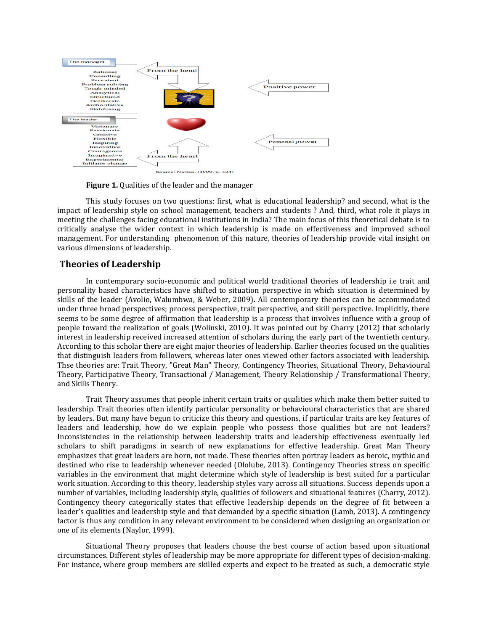

**Figure 1.** Qualities of the leader and the manager

This study focuses on two questions: first, what is educational leadership? and second, what is the impact of leadership style on school management, teachers and students ? And, third, what role it plays in meeting the challenges facing educational institutions in India? The main focus of this theoretical debate is to critically analyse the wider context in which leadership is made on effectiveness and improved school management. For understanding phenomenon of this nature, theories of leadership provide vital insight on various dimensions of leadership.

## **Theories of Leadership**

In contemporary socio-economic and political world traditional theories of leadership i.e trait and personality based characteristics have shifted to situation perspective in which situation is determined by skills of the leader (Avolio, Walumbwa, & Weber, 2009). All contemporary theories can be accommodated under three broad perspectives; process perspective, trait perspective, and skill perspective. Implicitly, there seems to be some degree of affirmation that leadership is a process that involves influence with a group of people toward the realization of goals (Wolinski, 2010). It was pointed out by Charry (2012) that scholarly interest in leadership received increased attention of scholars during the early part of the twentieth century. According to this scholar there are eight major theories of leadership. Earlier theories focused on the qualities that distinguish leaders from followers, whereas later ones viewed other factors associated with leadership. Thse theories are: Trait Theory, "Great Man" Theory, Contingency Theories, Situational Theory, Behavioural Theory, Participative Theory, Transactional / Management, Theory Relationship / Transformational Theory, and Skills Theory.

Trait Theory assumes that people inherit certain traits or qualities which make them better suited to leadership. Trait theories often identify particular personality or behavioural characteristics that are shared by leaders. But many have begun to criticize this theory and questions, if particular traits are key features of leaders and leadership, how do we explain people who possess those qualities but are not leaders? Inconsistencies in the relationship between leadership traits and leadership effectiveness eventually led scholars to shift paradigms in search of new explanations for effective leadership. Great Man Theory emphasizes that great leaders are born, not made. These theories often portray leaders as heroic, mythic and destined who rise to leadership whenever needed (Ololube, 2013). Contingency Theories stress on specific variables in the environment that might determine which style of leadership is best suited for a particular work situation. According to this theory, leadership styles vary across all situations. Success depends upon a number of variables, including leadership style, qualities of followers and situational features (Charry, 2012). Contingency theory categorically states that effective leadership depends on the degree of fit between a leader's qualities and leadership style and that demanded by a specific situation (Lamb, 2013). A contingency factor is thus any condition in any relevant environment to be considered when designing an organization or one of its elements (Naylor, 1999).

Situational Theory proposes that leaders choose the best course of action based upon situational circumstances. Different styles of leadership may be more appropriate for different types of decision-making. For instance, where group members are skilled experts and expect to be treated as such, a democratic style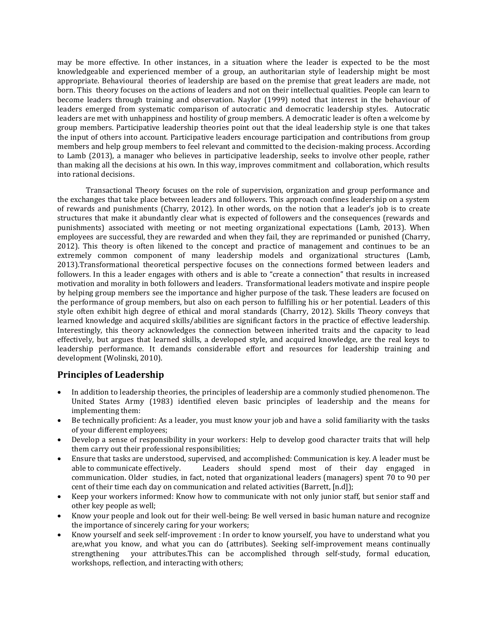may be more effective. In other instances, in a situation where the leader is expected to be the most knowledgeable and experienced member of a group, an authoritarian style of leadership might be most appropriate. Behavioural theories of leadership are based on the premise that great leaders are made, not born. This theory focuses on the actions of leaders and not on their intellectual qualities. People can learn to become leaders through training and observation. Naylor (1999) noted that interest in the behaviour of leaders emerged from systematic comparison of autocratic and democratic leadership styles. Autocratic leaders are met with unhappiness and hostility of group members. A democratic leader is often a welcome by group members. Participative leadership theories point out that the ideal leadership style is one that takes the input of others into account. Participative leaders encourage participation and contributions from group members and help group members to feel relevant and committed to the decision-making process. According to Lamb (2013), a manager who believes in participative leadership, seeks to involve other people, rather than making all the decisions at his own. In this way, improves commitment and collaboration, which results into rational decisions.

Transactional Theory focuses on the role of supervision, organization and group performance and the exchanges that take place between leaders and followers. This approach confines leadership on a system of rewards and punishments (Charry, 2012). In other words, on the notion that a leader's job is to create structures that make it abundantly clear what is expected of followers and the consequences (rewards and punishments) associated with meeting or not meeting organizational expectations (Lamb, 2013). When employees are successful, they are rewarded and when they fail, they are reprimanded or punished (Charry, 2012). This theory is often likened to the concept and practice of management and continues to be an extremely common component of many leadership models and organizational structures (Lamb, 2013).Transformational theoretical perspective focuses on the connections formed between leaders and followers. In this a leader engages with others and is able to "create a connection" that results in increased motivation and morality in both followers and leaders. Transformational leaders motivate and inspire people by helping group members see the importance and higher purpose of the task. These leaders are focused on the performance of group members, but also on each person to fulfilling his or her potential. Leaders of this style often exhibit high degree of ethical and moral standards (Charry, 2012). Skills Theory conveys that learned knowledge and acquired skills/abilities are significant factors in the practice of effective leadership. Interestingly, this theory acknowledges the connection between inherited traits and the capacity to lead effectively, but argues that learned skills, a developed style, and acquired knowledge, are the real keys to leadership performance. It demands considerable effort and resources for leadership training and development (Wolinski, 2010).

## **Principles of Leadership**

- In addition to leadership theories, the principles of leadership are a commonly studied phenomenon. The United States Army (1983) identified eleven basic principles of leadership and the means for implementing them:
- Be technically proficient: As a leader, you must know your job and have a solid familiarity with the tasks of your different employees;
- Develop a sense of responsibility in your workers: Help to develop good character traits that will help them carry out their professional responsibilities;
- Ensure that tasks are understood, supervised, and accomplished: Communication is key. A leader must be able to communicate effectively. Leaders should spend most of their day engaged in communication. Older studies, in fact, noted that organizational leaders (managers) spent 70 to 90 per cent of their time each day on communication and related activities (Barrett, [n.d]);
- Keep your workers informed: Know how to communicate with not only junior staff, but senior staff and other key people as well;
- Know your people and look out for their well-being: Be well versed in basic human nature and recognize the importance of sincerely caring for your workers;
- Know yourself and seek self-improvement : In order to know yourself, you have to understand what you are,what you know, and what you can do (attributes). Seeking self-improvement means continually strengthening your attributes.This can be accomplished through self-study, formal education, workshops, reflection, and interacting with others;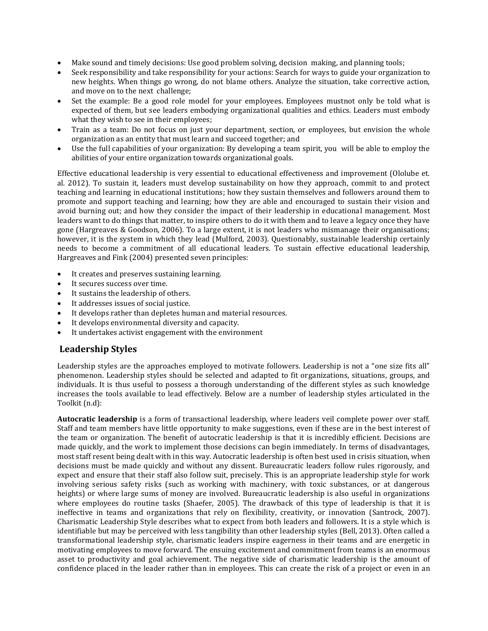- Make sound and timely decisions: Use good problem solving, decision making, and planning tools;
- Seek responsibility and take responsibility for your actions: Search for ways to guide your organization to new heights. When things go wrong, do not blame others. Analyze the situation, take corrective action, and move on to the next challenge;
- Set the example: Be a good role model for your employees. Employees mustnot only be told what is expected of them, but see leaders embodying organizational qualities and ethics. Leaders must embody what they wish to see in their employees;
- Train as a team: Do not focus on just your department, section, or employees, but envision the whole organization as an entity that must learn and succeed together; and
- Use the full capabilities of your organization: By developing a team spirit, you will be able to employ the abilities of your entire organization towards organizational goals.

Effective educational leadership is very essential to educational effectiveness and improvement (Ololube et. al. 2012). To sustain it, leaders must develop sustainability on how they approach, commit to and protect teaching and learning in educational institutions; how they sustain themselves and followers around them to promote and support teaching and learning; how they are able and encouraged to sustain their vision and avoid burning out; and how they consider the impact of their leadership in educational management. Most leaders want to do things that matter, to inspire others to do it with them and to leave a legacy once they have gone (Hargreaves & Goodson, 2006). To a large extent, it is not leaders who mismanage their organisations; however, it is the system in which they lead (Mulford, 2003). Questionably, sustainable leadership certainly needs to become a commitment of all educational leaders. To sustain effective educational leadership, Hargreaves and Fink (2004) presented seven principles:

- It creates and preserves sustaining learning.
- It secures success over time.
- It sustains the leadership of others.
- It addresses issues of social justice.
- It develops rather than depletes human and material resources.
- It develops environmental diversity and capacity.
- It undertakes activist engagement with the environment

## **Leadership Styles**

Leadership styles are the approaches employed to motivate followers. Leadership is not a "one size fits all" phenomenon. Leadership styles should be selected and adapted to fit organizations, situations, groups, and individuals. It is thus useful to possess a thorough understanding of the different styles as such knowledge increases the tools available to lead effectively. Below are a number of leadership styles articulated in the Toolkit (n.d):

**Autocratic leadership** is a form of transactional leadership, where leaders veil complete power over staff. Staff and team members have little opportunity to make suggestions, even if these are in the best interest of the team or organization. The benefit of autocratic leadership is that it is incredibly efficient. Decisions are made quickly, and the work to implement those decisions can begin immediately. In terms of disadvantages, most staff resent being dealt with in this way. Autocratic leadership is often best used in crisis situation, when decisions must be made quickly and without any dissent. Bureaucratic leaders follow rules rigorously, and expect and ensure that their staff also follow suit, precisely. This is an appropriate leadership style for work involving serious safety risks (such as working with machinery, with toxic substances, or at dangerous heights) or where large sums of money are involved. Bureaucratic leadership is also useful in organizations where employees do routine tasks (Shaefer, 2005). The drawback of this type of leadership is that it is ineffective in teams and organizations that rely on flexibility, creativity, or innovation (Santrock, 2007). Charismatic Leadership Style describes what to expect from both leaders and followers. It is a style which is identifiable but may be perceived with less tangibility than other leadership styles (Bell, 2013). Often called a transformational leadership style, charismatic leaders inspire eagerness in their teams and are energetic in motivating employees to move forward. The ensuing excitement and commitment from teams is an enormous asset to productivity and goal achievement. The negative side of charismatic leadership is the amount of confidence placed in the leader rather than in employees. This can create the risk of a project or even in an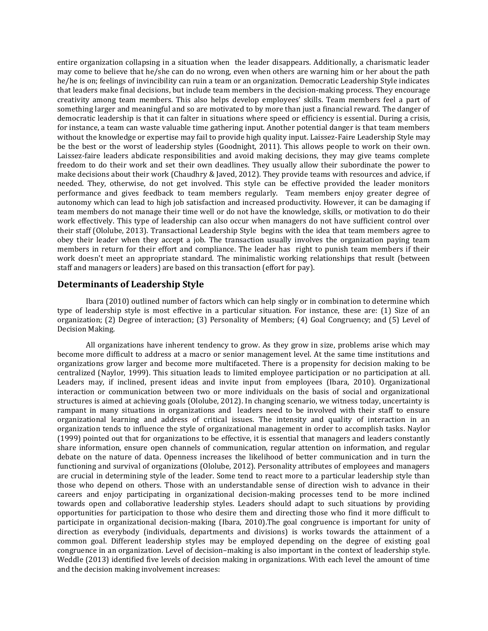entire organization collapsing in a situation when the leader disappears. Additionally, a charismatic leader may come to believe that he/she can do no wrong, even when others are warning him or her about the path he/he is on; feelings of invincibility can ruin a team or an organization. Democratic Leadership Style indicates that leaders make final decisions, but include team members in the decision-making process. They encourage creativity among team members. This also helps develop employees' skills. Team members feel a part of something larger and meaningful and so are motivated to by more than just a financial reward. The danger of democratic leadership is that it can falter in situations where speed or efficiency is essential. During a crisis, for instance, a team can waste valuable time gathering input. Another potential danger is that team members without the knowledge or expertise may fail to provide high quality input. Laissez-Faire Leadership Style may be the best or the worst of leadership styles (Goodnight, 2011). This allows people to work on their own. Laissez-faire leaders abdicate responsibilities and avoid making decisions, they may give teams complete freedom to do their work and set their own deadlines. They usually allow their subordinate the power to make decisions about their work (Chaudhry & Javed, 2012). They provide teams with resources and advice, if needed. They, otherwise, do not get involved. This style can be effective provided the leader monitors performance and gives feedback to team members regularly. Team members enjoy greater degree of autonomy which can lead to high job satisfaction and increased productivity. However, it can be damaging if team members do not manage their time well or do not have the knowledge, skills, or motivation to do their work effectively. This type of leadership can also occur when managers do not have sufficient control over their staff (Ololube, 2013). Transactional Leadership Style begins with the idea that team members agree to obey their leader when they accept a job. The transaction usually involves the organization paying team members in return for their effort and compliance. The leader has right to punish team members if their work doesn't meet an appropriate standard. The minimalistic working relationships that result (between staff and managers or leaders) are based on this transaction (effort for pay).

## **Determinants of Leadership Style**

Ibara (2010) outlined number of factors which can help singly or in combination to determine which type of leadership style is most effective in a particular situation. For instance, these are: (1) Size of an organization; (2) Degree of interaction; (3) Personality of Members; (4) Goal Congruency; and (5) Level of Decision Making.

All organizations have inherent tendency to grow. As they grow in size, problems arise which may become more difficult to address at a macro or senior management level. At the same time institutions and organizations grow larger and become more multifaceted. There is a propensity for decision making to be centralized (Naylor, 1999). This situation leads to limited employee participation or no participation at all. Leaders may, if inclined, present ideas and invite input from employees (Ibara, 2010). Organizational interaction or communication between two or more individuals on the basis of social and organizational structures is aimed at achieving goals (Ololube, 2012). In changing scenario, we witness today, uncertainty is rampant in many situations in organizations and leaders need to be involved with their staff to ensure organizational learning and address of critical issues. The intensity and quality of interaction in an organization tends to influence the style of organizational management in order to accomplish tasks. Naylor (1999) pointed out that for organizations to be effective, it is essential that managers and leaders constantly share information, ensure open channels of communication, regular attention on information, and regular debate on the nature of data. Openness increases the likelihood of better communication and in turn the functioning and survival of organizations (Ololube, 2012). Personality attributes of employees and managers are crucial in determining style of the leader. Some tend to react more to a particular leadership style than those who depend on others. Those with an understandable sense of direction wish to advance in their careers and enjoy participating in organizational decision-making processes tend to be more inclined towards open and collaborative leadership styles. Leaders should adapt to such situations by providing opportunities for participation to those who desire them and directing those who find it more difficult to participate in organizational decision-making (Ibara, 2010).The goal congruence is important for unity of direction as everybody (individuals, departments and divisions) is works towards the attainment of a common goal. Different leadership styles may be employed depending on the degree of existing goal congruence in an organization. Level of decision–making is also important in the context of leadership style. Weddle (2013) identified five levels of decision making in organizations. With each level the amount of time and the decision making involvement increases: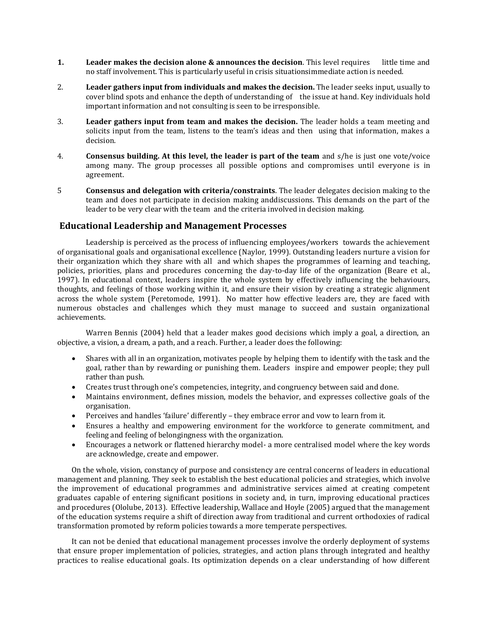- **1.** Leader makes the decision alone & announces the decision. This level requires little time and no staff involvement. This is particularly useful in crisis situationsimmediate action is needed.
- 2. **Leader gathers input from individuals and makes the decision.** The leader seeks input, usually to cover blind spots and enhance the depth of understanding of the issue at hand. Key individuals hold important information and not consulting is seen to be irresponsible.
- 3. **Leader gathers input from team and makes the decision.** The leader holds a team meeting and solicits input from the team, listens to the team's ideas and then using that information, makes a decision.
- 4. **Consensus building. At this level, the leader is part of the team** and s/he is just one vote/voice among many. The group processes all possible options and compromises until everyone is in agreement.
- 5 **Consensus and delegation with criteria/constraints**. The leader delegates decision making to the team and does not participate in decision making anddiscussions. This demands on the part of the leader to be very clear with the team and the criteria involved in decision making.

## **Educational Leadership and Management Processes**

Leadership is perceived as the process of influencing employees/workers towards the achievement of organisational goals and organisational excellence (Naylor, 1999). Outstanding leaders nurture a vision for their organization which they share with all and which shapes the programmes of learning and teaching, policies, priorities, plans and procedures concerning the day-to-day life of the organization (Beare et al., 1997). In educational context, leaders inspire the whole system by effectively influencing the behaviours, thoughts, and feelings of those working within it, and ensure their vision by creating a strategic alignment across the whole system (Peretomode, 1991). No matter how effective leaders are, they are faced with numerous obstacles and challenges which they must manage to succeed and sustain organizational achievements.

Warren Bennis (2004) held that a leader makes good decisions which imply a goal, a direction, an objective, a vision, a dream, a path, and a reach. Further, a leader does the following:

- Shares with all in an organization, motivates people by helping them to identify with the task and the goal, rather than by rewarding or punishing them. Leaders inspire and empower people; they pull rather than push.
- Creates trust through one's competencies, integrity, and congruency between said and done.
- Maintains environment, defines mission, models the behavior, and expresses collective goals of the organisation.
- Perceives and handles 'failure' differently they embrace error and vow to learn from it.
- Ensures a healthy and empowering environment for the workforce to generate commitment, and feeling and feeling of belongingness with the organization.
- Encourages a network or flattened hierarchy model- a more centralised model where the key words are acknowledge, create and empower.

On the whole, vision, constancy of purpose and consistency are central concerns of leaders in educational management and planning. They seek to establish the best educational policies and strategies, which involve the improvement of educational programmes and administrative services aimed at creating competent graduates capable of entering significant positions in society and, in turn, improving educational practices and procedures (Ololube, 2013). Effective leadership, Wallace and Hoyle (2005) argued that the management of the education systems require a shift of direction away from traditional and current orthodoxies of radical transformation promoted by reform policies towards a more temperate perspectives.

It can not be denied that educational management processes involve the orderly deployment of systems that ensure proper implementation of policies, strategies, and action plans through integrated and healthy practices to realise educational goals. Its optimization depends on a clear understanding of how different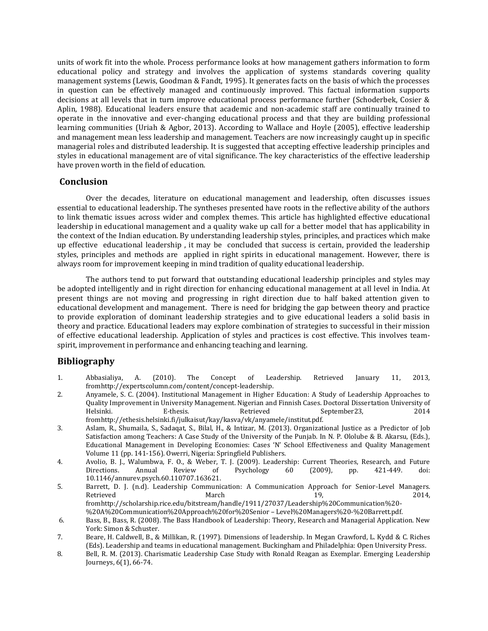units of work fit into the whole. Process performance looks at how management gathers information to form educational policy and strategy and involves the application of systems standards covering quality management systems (Lewis, Goodman & Fandt, 1995). It generates facts on the basis of which the processes in question can be effectively managed and continuously improved. This factual information supports decisions at all levels that in turn improve educational process performance further (Schoderbek, Cosier & Aplin, 1988). Educational leaders ensure that academic and non-academic staff are continually trained to operate in the innovative and ever-changing educational process and that they are building professional learning communities (Uriah & Agbor, 2013). According to Wallace and Hoyle (2005), effective leadership and management mean less leadership and management. Teachers are now increasingly caught up in specific managerial roles and distributed leadership. It is suggested that accepting effective leadership principles and styles in educational management are of vital significance. The key characteristics of the effective leadership have proven worth in the field of education.

## **Conclusion**

Over the decades, literature on educational management and leadership, often discusses issues essential to educational leadership. The syntheses presented have roots in the reflective ability of the authors to link thematic issues across wider and complex themes. This article has highlighted effective educational leadership in educational management and a quality wake up call for a better model that has applicability in the context of the Indian education. By understanding leadership styles, principles, and practices which make up effective educational leadership , it may be concluded that success is certain, provided the leadership styles, principles and methods are applied in right spirits in educational management. However, there is always room for improvement keeping in mind tradition of quality educational leadership.

The authors tend to put forward that outstanding educational leadership principles and styles may be adopted intelligently and in right direction for enhancing educational management at all level in India. At present things are not moving and progressing in right direction due to half baked attention given to educational development and management. There is need for bridging the gap between theory and practice to provide exploration of dominant leadership strategies and to give educational leaders a solid basis in theory and practice. Educational leaders may explore combination of strategies to successful in their mission of effective educational leadership. Application of styles and practices is cost effective. This involves teamspirit, improvement in performance and enhancing teaching and learning.

## **Bibliography**

- 1. Abbasialiya, A. (2010). The Concept of Leadership. Retrieved January 11, 2013, fromhttp://expertscolumn.com/content/concept-leadership.
- 2. Anyamele, S. C. (2004). Institutional Management in Higher Education: A Study of Leadership Approaches to Quality Improvement in University Management. Nigerian and Finnish Cases. Doctoral Dissertation University of Helsinki. E-thesis. Retrieved September23, 2014 fromhttp://ethesis.helsinki.fi/julkaisut/kay/kasva/vk/anyamele/institut.pdf.
- 3. Aslam, R., Shumaila, S., Sadaqat, S., Bilal, H., & Intizar, M. (2013). Organizational Justice as a Predictor of Job Satisfaction among Teachers: A Case Study of the University of the Punjab. In N. P. Ololube & B. Akarsu, (Eds.), Educational Management in Developing Economies: Cases 'N' School Effectiveness and Quality Management Volume 11 (pp. 141-156). Owerri, Nigeria: Springfield Publishers.
- 4. Avolio, B. J., Walumbwa, F. O., & Weber, T. J. (2009). Leadership: Current Theories, Research, and Future<br>Directions. Annual Review of Psychology 60 (2009), pp. 421-449. doi: Directions. Annual Review of Psychology 60 (2009), pp. 421-449. doi: 10.1146/annurev.psych.60.110707.163621.
- 5. Barrett, D. J. (n.d). Leadership Communication: A Communication Approach for Senior-Level Managers. Retrieved 2014, and March 19, 2014, fromhttp://scholarship.rice.edu/bitstream/handle/1911/27037/Leadership%20Communication%20-
- %20A%20Communication%20Approach%20for%20Senior Level%20Managers%20-%20Barrett.pdf. 6. Bass, B., Bass, R. (2008). The Bass Handbook of Leadership: Theory, Research and Managerial Application. New
- York: Simon & Schuster.
- 7. Beare, H. Caldwell, B., & Millikan, R. (1997). Dimensions of leadership. In Megan Crawford, L. Kydd & C. Riches (Eds). Leadership and teams in educational management. Buckingham and Philadelphia: Open University Press.
- 8. Bell, R. M. (2013). Charismatic Leadership Case Study with Ronald Reagan as Exemplar. Emerging Leadership Journeys, 6(1), 66-74.